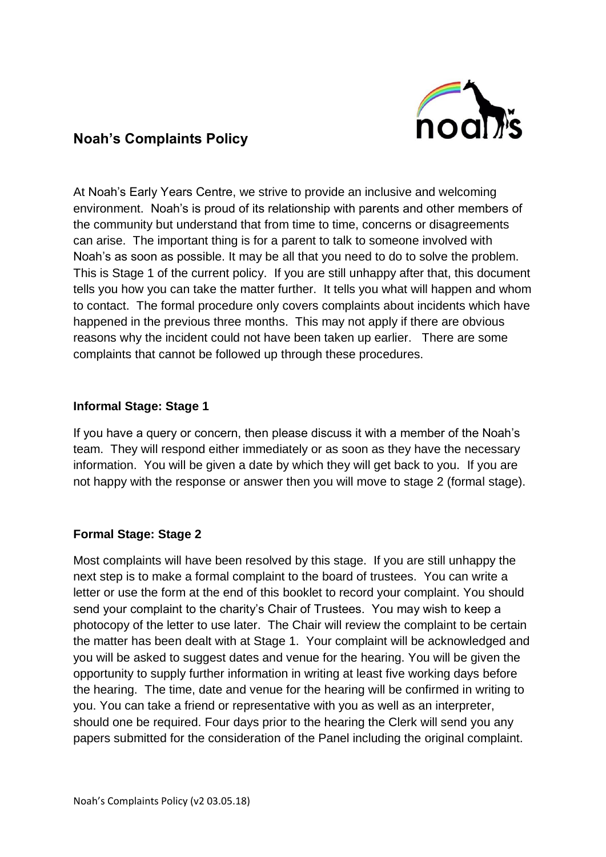

## **Noah's Complaints Policy**

At Noah's Early Years Centre, we strive to provide an inclusive and welcoming environment. Noah's is proud of its relationship with parents and other members of the community but understand that from time to time, concerns or disagreements can arise. The important thing is for a parent to talk to someone involved with Noah's as soon as possible. It may be all that you need to do to solve the problem. This is Stage 1 of the current policy. If you are still unhappy after that, this document tells you how you can take the matter further. It tells you what will happen and whom to contact. The formal procedure only covers complaints about incidents which have happened in the previous three months. This may not apply if there are obvious reasons why the incident could not have been taken up earlier. There are some complaints that cannot be followed up through these procedures.

## **Informal Stage: Stage 1**

If you have a query or concern, then please discuss it with a member of the Noah's team. They will respond either immediately or as soon as they have the necessary information. You will be given a date by which they will get back to you. If you are not happy with the response or answer then you will move to stage 2 (formal stage).

## **Formal Stage: Stage 2**

Most complaints will have been resolved by this stage. If you are still unhappy the next step is to make a formal complaint to the board of trustees. You can write a letter or use the form at the end of this booklet to record your complaint. You should send your complaint to the charity's Chair of Trustees. You may wish to keep a photocopy of the letter to use later. The Chair will review the complaint to be certain the matter has been dealt with at Stage 1. Your complaint will be acknowledged and you will be asked to suggest dates and venue for the hearing. You will be given the opportunity to supply further information in writing at least five working days before the hearing. The time, date and venue for the hearing will be confirmed in writing to you. You can take a friend or representative with you as well as an interpreter, should one be required. Four days prior to the hearing the Clerk will send you any papers submitted for the consideration of the Panel including the original complaint.